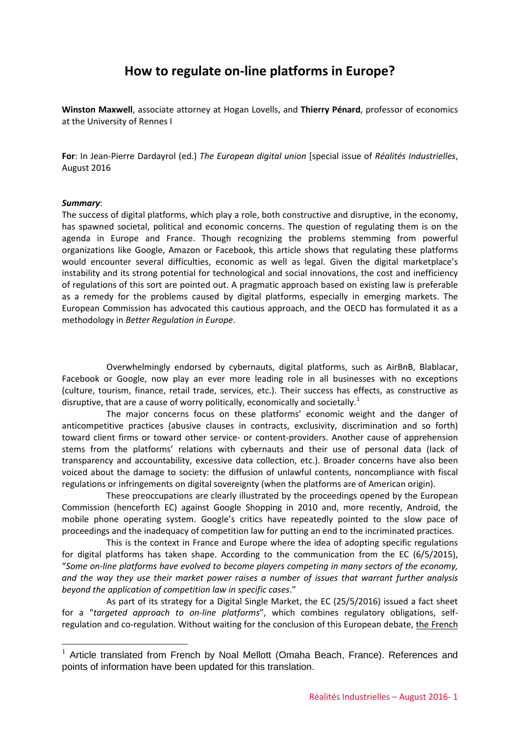# **How to regulate on-line platforms in Europe?**

**Winston Maxwell**, associate attorney at Hogan Lovells, and **Thierry Pénard**, professor of economics at the University of Rennes I

**For**: In Jean-Pierre Dardayrol (ed.) *The European digital union* [special issue of *Réalités Industrielles*, August 2016

#### *Summary*:

The success of digital platforms, which play a role, both constructive and disruptive, in the economy, has spawned societal, political and economic concerns. The question of regulating them is on the agenda in Europe and France. Though recognizing the problems stemming from powerful organizations like Google, Amazon or Facebook, this article shows that regulating these platforms would encounter several difficulties, economic as well as legal. Given the digital marketplace's instability and its strong potential for technological and social innovations, the cost and inefficiency of regulations of this sort are pointed out. A pragmatic approach based on existing law is preferable as a remedy for the problems caused by digital platforms, especially in emerging markets. The European Commission has advocated this cautious approach, and the OECD has formulated it as a methodology in *Better Regulation in Europe*.

Overwhelmingly endorsed by cybernauts, digital platforms, such as AirBnB, Blablacar, Facebook or Google, now play an ever more leading role in all businesses with no exceptions (culture, tourism, finance, retail trade, services, etc.). Their success has effects, as constructive as disruptive, that are a cause of worry politically, economically and societally.<sup>[1](#page-0-0)</sup>

The major concerns focus on these platforms' economic weight and the danger of anticompetitive practices (abusive clauses in contracts, exclusivity, discrimination and so forth) toward client firms or toward other service- or content-providers. Another cause of apprehension stems from the platforms' relations with cybernauts and their use of personal data (lack of transparency and accountability, excessive data collection, etc.). Broader concerns have also been voiced about the damage to society: the diffusion of unlawful contents, noncompliance with fiscal regulations or infringements on digital sovereignty (when the platforms are of American origin).

These preoccupations are clearly illustrated by the proceedings opened by the European Commission (henceforth EC) against Google Shopping in 2010 and, more recently, Android, the mobile phone operating system. Google's critics have repeatedly pointed to the slow pace of proceedings and the inadequacy of competition law for putting an end to the incriminated practices.

This is the context in France and Europe where the idea of adopting specific regulations for digital platforms has taken shape. According to the communication from the EC (6/5/2015), "*Some on-line platforms have evolved to become players competing in many sectors of the economy, and the way they use their market power raises a number of issues that warrant further analysis beyond the application of competition law in specific cases*."

As part of its strategy for a Digital Single Market, the EC (25/5/2016) issued a fact sheet for a "*targeted approach to on-line platforms*", which combines regulatory obligations, selfregulation and co-regulation. Without waiting for the conclusion of this European debate, the French

<span id="page-0-0"></span>Article translated from French by Noal Mellott (Omaha Beach, France). References and points of information have been updated for this translation.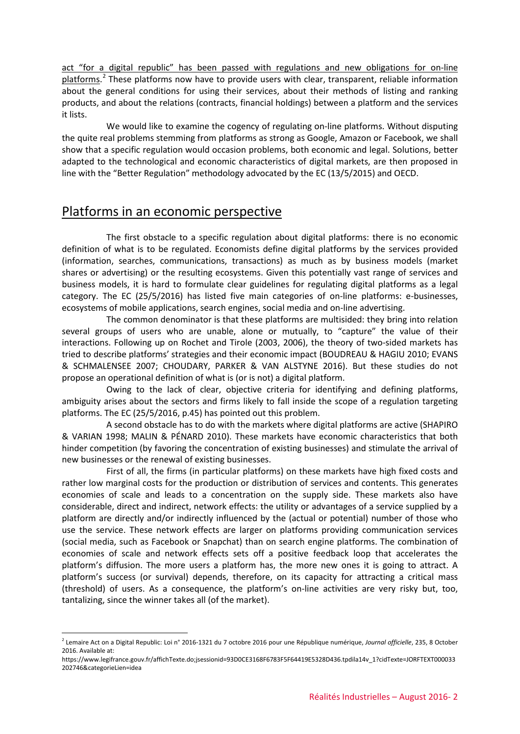act "for a digital republic" has been passed with regulations and new obligations for on-line platforms.<sup>[2](#page-1-0)</sup> These platforms now have to provide users with clear, transparent, reliable information about the general conditions for using their services, about their methods of listing and ranking products, and about the relations (contracts, financial holdings) between a platform and the services it lists.

We would like to examine the cogency of regulating on-line platforms. Without disputing the quite real problems stemming from platforms as strong as Google, Amazon or Facebook, we shall show that a specific regulation would occasion problems, both economic and legal. Solutions, better adapted to the technological and economic characteristics of digital markets, are then proposed in line with the "Better Regulation" methodology advocated by the EC (13/5/2015) and OECD.

#### Platforms in an economic perspective

The first obstacle to a specific regulation about digital platforms: there is no economic definition of what is to be regulated. Economists define digital platforms by the services provided (information, searches, communications, transactions) as much as by business models (market shares or advertising) or the resulting ecosystems. Given this potentially vast range of services and business models, it is hard to formulate clear guidelines for regulating digital platforms as a legal category. The EC (25/5/2016) has listed five main categories of on-line platforms: e-businesses, ecosystems of mobile applications, search engines, social media and on-line advertising.

The common denominator is that these platforms are multisided: they bring into relation several groups of users who are unable, alone or mutually, to "capture" the value of their interactions. Following up on Rochet and Tirole (2003, 2006), the theory of two-sided markets has tried to describe platforms' strategies and their economic impact (BOUDREAU & HAGIU 2010; EVANS & SCHMALENSEE 2007; CHOUDARY, PARKER & VAN ALSTYNE 2016). But these studies do not propose an operational definition of what is (or is not) a digital platform.

Owing to the lack of clear, objective criteria for identifying and defining platforms, ambiguity arises about the sectors and firms likely to fall inside the scope of a regulation targeting platforms. The EC (25/5/2016, p.45) has pointed out this problem.

A second obstacle has to do with the markets where digital platforms are active (SHAPIRO & VARIAN 1998; MALIN & PÉNARD 2010). These markets have economic characteristics that both hinder competition (by favoring the concentration of existing businesses) and stimulate the arrival of new businesses or the renewal of existing businesses.

First of all, the firms (in particular platforms) on these markets have high fixed costs and rather low marginal costs for the production or distribution of services and contents. This generates economies of scale and leads to a concentration on the supply side. These markets also have considerable, direct and indirect, network effects: the utility or advantages of a service supplied by a platform are directly and/or indirectly influenced by the (actual or potential) number of those who use the service. These network effects are larger on platforms providing communication services (social media, such as Facebook or Snapchat) than on search engine platforms. The combination of economies of scale and network effects sets off a positive feedback loop that accelerates the platform's diffusion. The more users a platform has, the more new ones it is going to attract. A platform's success (or survival) depends, therefore, on its capacity for attracting a critical mass (threshold) of users. As a consequence, the platform's on-line activities are very risky but, too, tantalizing, since the winner takes all (of the market).

<span id="page-1-0"></span><sup>&</sup>lt;u>.</u> <sup>2</sup> Lemaire Act on a Digital Republic: Loi n° 2016-1321 du 7 octobre 2016 pour une République numérique, *Journal officielle*, 235, 8 October 2016. Available at:

https://www.legifrance.gouv.fr/affichTexte.do;jsessionid=93D0CE3168F6783F5F64419E5328D436.tpdila14v\_1?cidTexte=JORFTEXT000033 202746&categorieLien=idea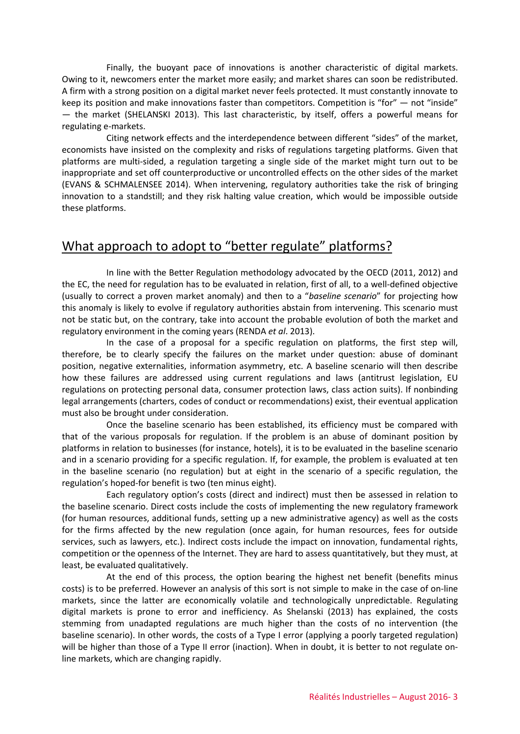Finally, the buoyant pace of innovations is another characteristic of digital markets. Owing to it, newcomers enter the market more easily; and market shares can soon be redistributed. A firm with a strong position on a digital market never feels protected. It must constantly innovate to keep its position and make innovations faster than competitors. Competition is "for" — not "inside" — the market (SHELANSKI 2013). This last characteristic, by itself, offers a powerful means for regulating e-markets.

Citing network effects and the interdependence between different "sides" of the market, economists have insisted on the complexity and risks of regulations targeting platforms. Given that platforms are multi-sided, a regulation targeting a single side of the market might turn out to be inappropriate and set off counterproductive or uncontrolled effects on the other sides of the market (EVANS & SCHMALENSEE 2014). When intervening, regulatory authorities take the risk of bringing innovation to a standstill; and they risk halting value creation, which would be impossible outside these platforms.

## What approach to adopt to "better regulate" platforms?

In line with the Better Regulation methodology advocated by the OECD (2011, 2012) and the EC, the need for regulation has to be evaluated in relation, first of all, to a well-defined objective (usually to correct a proven market anomaly) and then to a "*baseline scenario*" for projecting how this anomaly is likely to evolve if regulatory authorities abstain from intervening. This scenario must not be static but, on the contrary, take into account the probable evolution of both the market and regulatory environment in the coming years (RENDA *et al*. 2013).

In the case of a proposal for a specific regulation on platforms, the first step will, therefore, be to clearly specify the failures on the market under question: abuse of dominant position, negative externalities, information asymmetry, etc. A baseline scenario will then describe how these failures are addressed using current regulations and laws (antitrust legislation, EU regulations on protecting personal data, consumer protection laws, class action suits). If nonbinding legal arrangements (charters, codes of conduct or recommendations) exist, their eventual application must also be brought under consideration.

Once the baseline scenario has been established, its efficiency must be compared with that of the various proposals for regulation. If the problem is an abuse of dominant position by platforms in relation to businesses (for instance, hotels), it is to be evaluated in the baseline scenario and in a scenario providing for a specific regulation. If, for example, the problem is evaluated at ten in the baseline scenario (no regulation) but at eight in the scenario of a specific regulation, the regulation's hoped-for benefit is two (ten minus eight).

Each regulatory option's costs (direct and indirect) must then be assessed in relation to the baseline scenario. Direct costs include the costs of implementing the new regulatory framework (for human resources, additional funds, setting up a new administrative agency) as well as the costs for the firms affected by the new regulation (once again, for human resources, fees for outside services, such as lawyers, etc.). Indirect costs include the impact on innovation, fundamental rights, competition or the openness of the Internet. They are hard to assess quantitatively, but they must, at least, be evaluated qualitatively.

At the end of this process, the option bearing the highest net benefit (benefits minus costs) is to be preferred. However an analysis of this sort is not simple to make in the case of on-line markets, since the latter are economically volatile and technologically unpredictable. Regulating digital markets is prone to error and inefficiency. As Shelanski (2013) has explained, the costs stemming from unadapted regulations are much higher than the costs of no intervention (the baseline scenario). In other words, the costs of a Type I error (applying a poorly targeted regulation) will be higher than those of a Type II error (inaction). When in doubt, it is better to not regulate online markets, which are changing rapidly.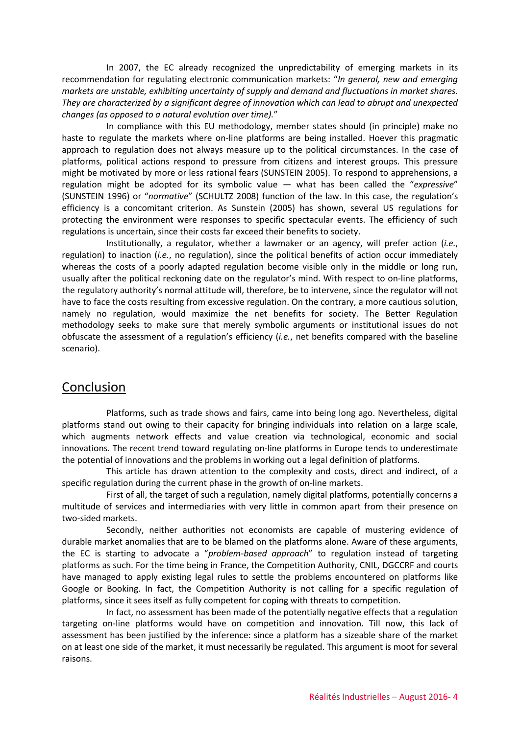In 2007, the EC already recognized the unpredictability of emerging markets in its recommendation for regulating electronic communication markets: "*In general, new and emerging markets are unstable, exhibiting uncertainty of supply and demand and fluctuations in market shares. They are characterized by a significant degree of innovation which can lead to abrupt and unexpected changes (as opposed to a natural evolution over time).*"

In compliance with this EU methodology, member states should (in principle) make no haste to regulate the markets where on-line platforms are being installed. Hoever this pragmatic approach to regulation does not always measure up to the political circumstances. In the case of platforms, political actions respond to pressure from citizens and interest groups. This pressure might be motivated by more or less rational fears (SUNSTEIN 2005). To respond to apprehensions, a regulation might be adopted for its symbolic value — what has been called the "*expressive*" (SUNSTEIN 1996) or "*normative*" (SCHULTZ 2008) function of the law. In this case, the regulation's efficiency is a concomitant criterion. As Sunstein (2005) has shown, several US regulations for protecting the environment were responses to specific spectacular events. The efficiency of such regulations is uncertain, since their costs far exceed their benefits to society.

Institutionally, a regulator, whether a lawmaker or an agency, will prefer action (*i.e.*, regulation) to inaction (*i.e.*, no regulation), since the political benefits of action occur immediately whereas the costs of a poorly adapted regulation become visible only in the middle or long run, usually after the political reckoning date on the regulator's mind. With respect to on-line platforms, the regulatory authority's normal attitude will, therefore, be to intervene, since the regulator will not have to face the costs resulting from excessive regulation. On the contrary, a more cautious solution, namely no regulation, would maximize the net benefits for society. The Better Regulation methodology seeks to make sure that merely symbolic arguments or institutional issues do not obfuscate the assessment of a regulation's efficiency (*i.e.*, net benefits compared with the baseline scenario).

## Conclusion

Platforms, such as trade shows and fairs, came into being long ago. Nevertheless, digital platforms stand out owing to their capacity for bringing individuals into relation on a large scale, which augments network effects and value creation via technological, economic and social innovations. The recent trend toward regulating on-line platforms in Europe tends to underestimate the potential of innovations and the problems in working out a legal definition of platforms.

This article has drawn attention to the complexity and costs, direct and indirect, of a specific regulation during the current phase in the growth of on-line markets.

First of all, the target of such a regulation, namely digital platforms, potentially concerns a multitude of services and intermediaries with very little in common apart from their presence on two-sided markets.

Secondly, neither authorities not economists are capable of mustering evidence of durable market anomalies that are to be blamed on the platforms alone. Aware of these arguments, the EC is starting to advocate a "*problem-based approach*" to regulation instead of targeting platforms as such. For the time being in France, the Competition Authority, CNIL, DGCCRF and courts have managed to apply existing legal rules to settle the problems encountered on platforms like Google or Booking. In fact, the Competition Authority is not calling for a specific regulation of platforms, since it sees itself as fully competent for coping with threats to competition.

In fact, no assessment has been made of the potentially negative effects that a regulation targeting on-line platforms would have on competition and innovation. Till now, this lack of assessment has been justified by the inference: since a platform has a sizeable share of the market on at least one side of the market, it must necessarily be regulated. This argument is moot for several raisons.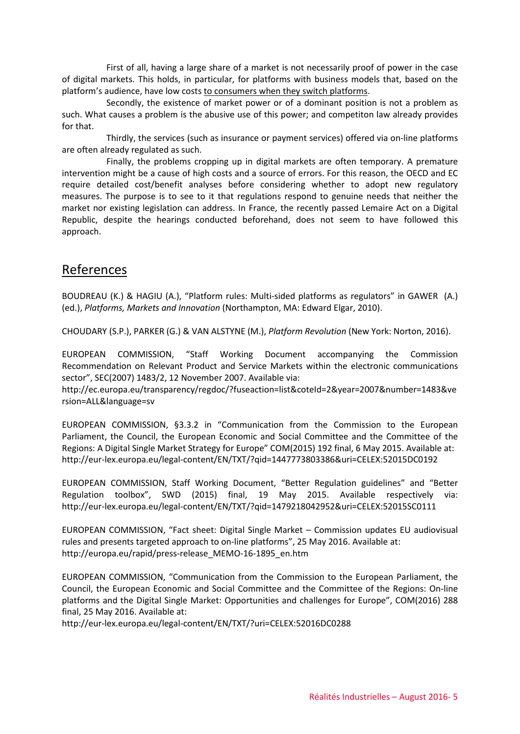First of all, having a large share of a market is not necessarily proof of power in the case of digital markets. This holds, in particular, for platforms with business models that, based on the platform's audience, have low costs to consumers when they switch platforms.

Secondly, the existence of market power or of a dominant position is not a problem as such. What causes a problem is the abusive use of this power; and competiton law already provides for that.

Thirdly, the services (such as insurance or payment services) offered via on-line platforms are often already regulated as such.

Finally, the problems cropping up in digital markets are often temporary. A premature intervention might be a cause of high costs and a source of errors. For this reason, the OECD and EC require detailed cost/benefit analyses before considering whether to adopt new regulatory measures. The purpose is to see to it that regulations respond to genuine needs that neither the market nor existing legislation can address. In France, the recently passed Lemaire Act on a Digital Republic, despite the hearings conducted beforehand, does not seem to have followed this approach.

## References

BOUDREAU (K.) & HAGIU (A.), "Platform rules: Multi-sided platforms as regulators" in GAWER (A.) (ed.), *Platforms, Markets and Innovation* (Northampton, MA: Edward Elgar, 2010).

CHOUDARY (S.P.), PARKER (G.) & VAN ALSTYNE (M.), *Platform Revolution* (New York: Norton, 2016).

EUROPEAN COMMISSION, "Staff Working Document accompanying the Commission Recommendation on Relevant Product and Service Markets within the electronic communications sector", SEC(2007) 1483/2, 12 November 2007. Available via:

http://ec.europa.eu/transparency/regdoc/?fuseaction=list&coteId=2&year=2007&number=1483&ve rsion=ALL&language=sv

EUROPEAN COMMISSION, §3.3.2 in "Communication from the Commission to the European Parliament, the Council, the European Economic and Social Committee and the Committee of the Regions: A Digital Single Market Strategy for Europe" COM(2015) 192 final, 6 May 2015. Available at: http://eur-lex.europa.eu/legal-content/EN/TXT/?qid=1447773803386&uri=CELEX:52015DC0192

EUROPEAN COMMISSION, Staff Working Document, "Better Regulation guidelines" and "Better Regulation toolbox", SWD (2015) final, 19 May 2015. Available respectively via: http://eur-lex.europa.eu/legal-content/EN/TXT/?qid=1479218042952&uri=CELEX:52015SC0111

EUROPEAN COMMISSION, "Fact sheet: Digital Single Market – Commission updates EU audiovisual rules and presents targeted approach to on-line platforms", 25 May 2016. Available at: http://europa.eu/rapid/press-release\_MEMO-16-1895\_en.htm

EUROPEAN COMMISSION, "Communication from the Commission to the European Parliament, the Council, the European Economic and Social Committee and the Committee of the Regions: On-line platforms and the Digital Single Market: Opportunities and challenges for Europe", COM(2016) 288 final, 25 May 2016. Available at:

http://eur-lex.europa.eu/legal-content/EN/TXT/?uri=CELEX:52016DC0288